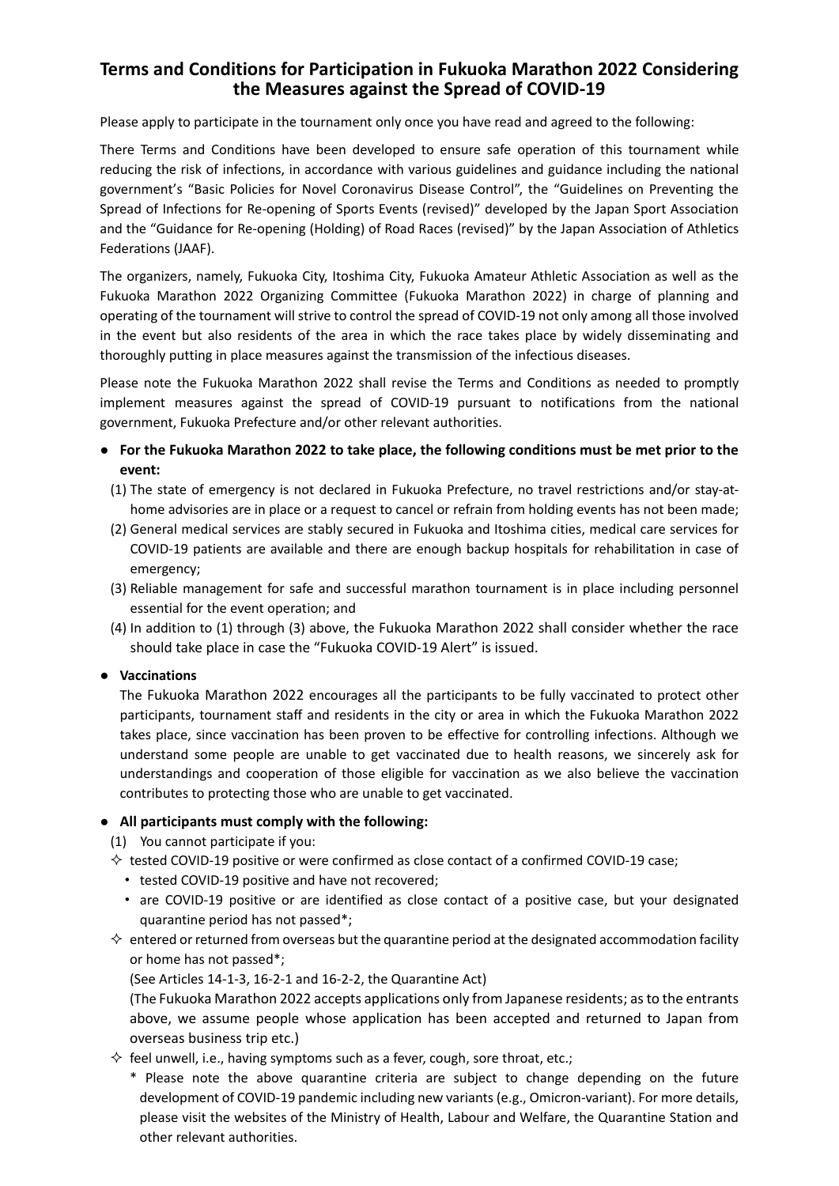# **Terms and Conditions for Participation in Fukuoka Marathon 2022 Considering the Measures against the Spread of COVID-19**

Please apply to participate in the tournament only once you have read and agreed to the following:

There Terms and Conditions have been developed to ensure safe operation of this tournament while reducing the risk of infections, in accordance with various guidelines and guidance including the national government's "Basic Policies for Novel Coronavirus Disease Control", the "Guidelines on Preventing the Spread of Infections for Re-opening of Sports Events (revised)" developed by the Japan Sport Association and the "Guidance for Re-opening (Holding) of Road Races (revised)" by the Japan Association of Athletics Federations (JAAF).

The organizers, namely, Fukuoka City, Itoshima City, Fukuoka Amateur Athletic Association as well as the Fukuoka Marathon 2022 Organizing Committee (Fukuoka Marathon 2022) in charge of planning and operating of the tournament will strive to control the spread of COVID-19 not only among all those involved in the event but also residents of the area in which the race takes place by widely disseminating and thoroughly putting in place measures against the transmission of the infectious diseases.

Please note the Fukuoka Marathon 2022 shall revise the Terms and Conditions as needed to promptly implement measures against the spread of COVID-19 pursuant to notifications from the national government, Fukuoka Prefecture and/or other relevant authorities.

- **For the Fukuoka Marathon 2022 to take place, the following conditions must be met prior to the event:**
	- (1) The state of emergency is not declared in Fukuoka Prefecture, no travel restrictions and/or stay-athome advisories are in place or a request to cancel or refrain from holding events has not been made;
	- (2) General medical services are stably secured in Fukuoka and Itoshima cities, medical care services for COVID-19 patients are available and there are enough backup hospitals for rehabilitation in case of emergency;
	- (3) Reliable management for safe and successful marathon tournament is in place including personnel essential for the event operation; and
	- (4) In addition to (1) through (3) above, the Fukuoka Marathon 2022 shall consider whether the race should take place in case the "Fukuoka COVID-19 Alert" is issued.

## **● Vaccinations**

The Fukuoka Marathon 2022 encourages all the participants to be fully vaccinated to protect other participants, tournament staff and residents in the city or area in which the Fukuoka Marathon 2022 takes place, since vaccination has been proven to be effective for controlling infections. Although we understand some people are unable to get vaccinated due to health reasons, we sincerely ask for understandings and cooperation of those eligible for vaccination as we also believe the vaccination contributes to protecting those who are unable to get vaccinated.

#### ● **All participants must comply with the following:**

- (1) You cannot participate if you:
- $\Diamond$  tested COVID-19 positive or were confirmed as close contact of a confirmed COVID-19 case;
	- ・ tested COVID-19 positive and have not recovered;
	- are COVID-19 positive or are identified as close contact of a positive case, but your designated quarantine period has not passed\*;
- $\Diamond$  entered or returned from overseas but the quarantine period at the designated accommodation facility or home has not passed\*;

(See Articles 14-1-3, 16-2-1 and 16-2-2, the Quarantine Act)

(The Fukuoka Marathon 2022 accepts applications only from Japanese residents; as to the entrants above, we assume people whose application has been accepted and returned to Japan from overseas business trip etc.)

- $\Diamond$  feel unwell, i.e., having symptoms such as a fever, cough, sore throat, etc.;
	- \* Please note the above quarantine criteria are subject to change depending on the future development of COVID-19 pandemic including new variants (e.g., Omicron-variant). For more details, please visit the websites of the Ministry of Health, Labour and Welfare, the Quarantine Station and other relevant authorities.